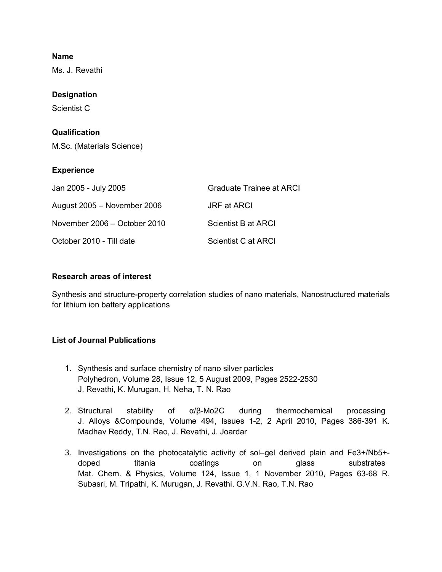#### **Name**

Ms. J. Revathi

### **Designation**

Scientist C

### **Qualification**

M.Sc. (Materials Science)

#### **Experience**

| Jan 2005 - July 2005         | <b>Graduate Trainee at ARCI</b> |
|------------------------------|---------------------------------|
| August 2005 - November 2006  | JRF at ARCI                     |
| November 2006 – October 2010 | Scientist B at ARCI             |
| October 2010 - Till date     | Scientist C at ARCI             |

## **Research areas of interest**

Synthesis and structure-property correlation studies of nano materials, Nanostructured materials for lithium ion battery applications

# **List of Journal Publications**

- 1. Synthesis and surface chemistry of nano silver particles Polyhedron, Volume 28, Issue 12, 5 August 2009, Pages 2522-2530 J. Revathi, K. Murugan, H. Neha, T. N. Rao
- 2. Structural stability of  $\alpha/\beta$ -Mo2C during thermochemical processing J. Alloys &Compounds, Volume 494, Issues 1-2, 2 April 2010, Pages 386-391 K. Madhav Reddy, T.N. Rao, J. Revathi, J. Joardar
- 3. Investigations on the photocatalytic activity of sol–gel derived plain and Fe3+/Nb5+ doped titania coatings on glass substrates Mat. Chem. & Physics, Volume 124, Issue 1, 1 November 2010, Pages 63-68 R. Subasri, M. Tripathi, K. Murugan, J. Revathi, G.V.N. Rao, T.N. Rao